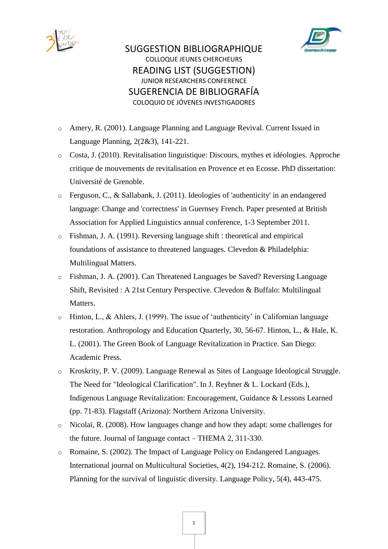



## SUGGESTION BIBLIOGRAPHIQUE COLLOQUE JEUNES CHERCHEURS READING LIST (SUGGESTION) JUNIOR RESEARCHERS CONFERENCE SUGERENCIA DE BIBLIOGRAFÍA COLOQUIO DE JÓVENES INVESTIGADORES

- o Amery, R. (2001). Language Planning and Language Revival. Current Issued in Language Planning, 2(2&3), 141-221.
- o Costa, J. (2010). Revitalisation linguistique: Discours, mythes et idéologies. Approche critique de mouvements de revitalisation en Provence et en Ecosse. PhD dissertation: Université de Grenoble.
- o Ferguson, C., & Sallabank, J. (2011). Ideologies of 'authenticity' in an endangered language: Change and 'correctness' in Guernsey French. Paper presented at British Association for Applied Linguistics annual conference, 1-3 September 2011.
- o Fishman, J. A. (1991). Reversing language shift : theoretical and empirical foundations of assistance to threatened languages. Clevedon & Philadelphia: Multilingual Matters.
- o Fishman, J. A. (2001). Can Threatened Languages be Saved? Reversing Language Shift, Revisited : A 21st Century Perspective. Clevedon & Buffalo: Multilingual Matters.
- o Hinton, L., & Ahlers, J. (1999). The issue of 'authenticity' in Californian language restoration. Anthropology and Education Quarterly, 30, 56-67. Hinton, L., & Hale, K. L. (2001). The Green Book of Language Revitalization in Practice. San Diego: Academic Press.
- o Kroskrity, P. V. (2009). Language Renewal as Sites of Language Ideological Struggle. The Need for "Ideological Clarification". In J. Reyhner & L. Lockard (Eds.), Indigenous Language Revitalization: Encouragement, Guidance & Lessons Learned (pp. 71-83). Flagstaff (Arizona): Northern Arizona University.
- o Nicolaï, R. (2008). How languages change and how they adapt: some challenges for the future. Journal of language contact – THEMA 2, 311-330.
- o Romaine, S. (2002). The Impact of Language Policy on Endangered Languages. International journal on Multicultural Societies, 4(2), 194-212. Romaine, S. (2006). Planning for the survival of linguistic diversity. Language Policy, 5(4), 443-475.